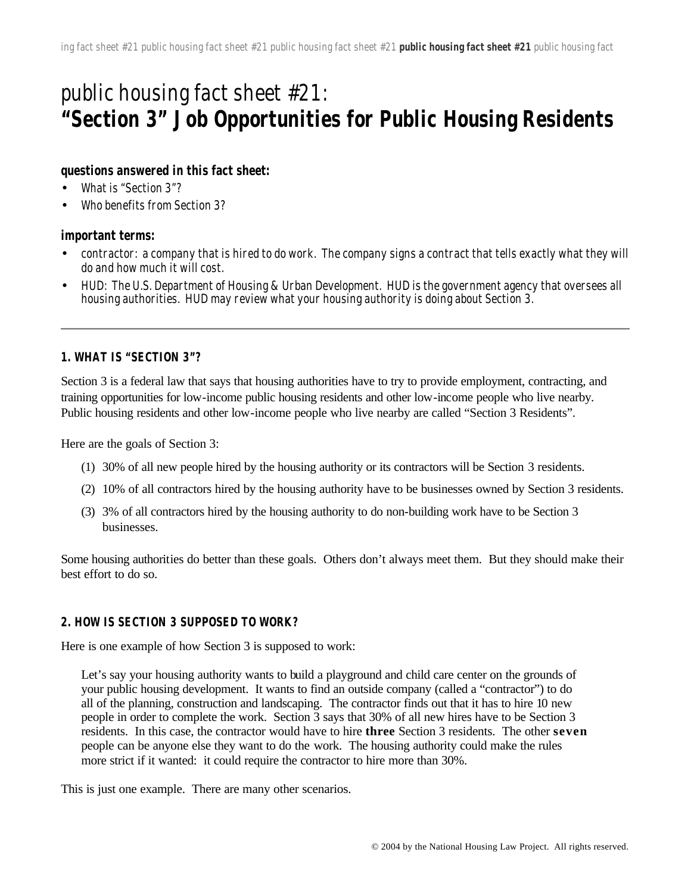# public housing fact sheet #21: **"Section 3" Job Opportunities for Public Housing Residents**

#### **questions answered in this fact sheet:**

- What is "Section 3"?
- Who benefits from Section 3?

#### **important terms:**

- contractor: a company that is hired to do work. The company signs a contract that tells exactly what they will do and how much it will cost.
- HUD: The U.S. Department of Housing & Urban Development. HUD is the government agency that oversees all housing authorities. HUD may review what your housing authority is doing about Section 3.

#### **1. WHAT IS "SECTION 3"?**

Section 3 is a federal law that says that housing authorities have to try to provide employment, contracting, and training opportunities for low-income public housing residents and other low-income people who live nearby. Public housing residents and other low-income people who live nearby are called "Section 3 Residents".

Here are the goals of Section 3:

- (1) 30% of all new people hired by the housing authority or its contractors will be Section 3 residents.
- (2) 10% of all contractors hired by the housing authority have to be businesses owned by Section 3 residents.
- (3) 3% of all contractors hired by the housing authority to do non-building work have to be Section 3 businesses.

Some housing authorities do better than these goals. Others don't always meet them. But they should make their best effort to do so.

#### **2. HOW IS SECTION 3 SUPPOSED TO WORK?**

Here is one example of how Section 3 is supposed to work:

Let's say your housing authority wants to build a playground and child care center on the grounds of your public housing development. It wants to find an outside company (called a "contractor") to do all of the planning, construction and landscaping. The contractor finds out that it has to hire 10 new people in order to complete the work. Section 3 says that 30% of all new hires have to be Section 3 residents. In this case, the contractor would have to hire **three** Section 3 residents. The other **seven** people can be anyone else they want to do the work. The housing authority could make the rules more strict if it wanted: it could require the contractor to hire more than 30%.

This is just one example. There are many other scenarios.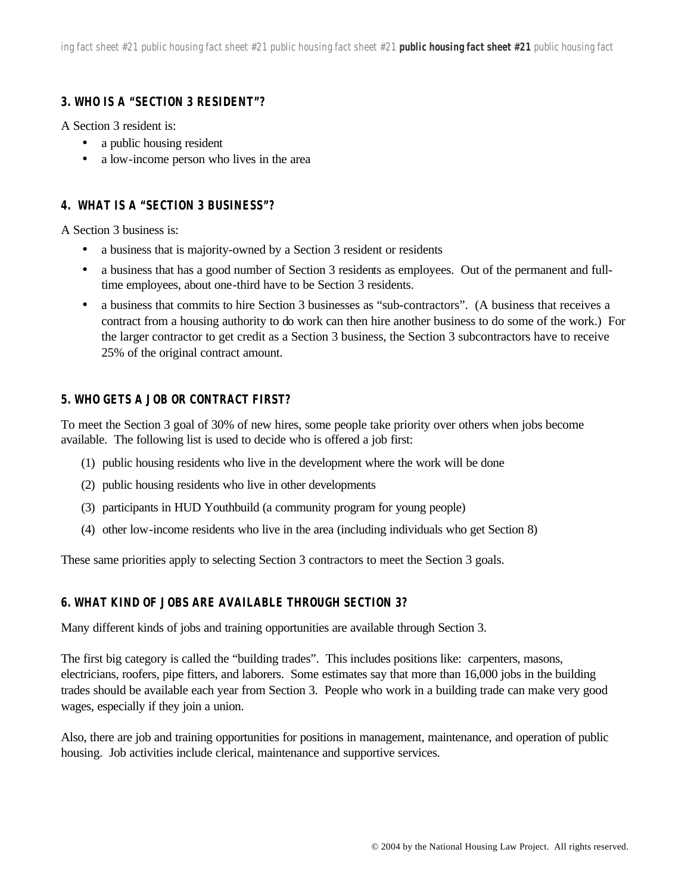## **3. WHO IS A "SECTION 3 RESIDENT"?**

A Section 3 resident is:

- a public housing resident
- a low-income person who lives in the area

## **4. WHAT IS A "SECTION 3 BUSINESS"?**

A Section 3 business is:

- a business that is majority-owned by a Section 3 resident or residents
- a business that has a good number of Section 3 residents as employees. Out of the permanent and fulltime employees, about one-third have to be Section 3 residents.
- a business that commits to hire Section 3 businesses as "sub-contractors". (A business that receives a contract from a housing authority to do work can then hire another business to do some of the work.) For the larger contractor to get credit as a Section 3 business, the Section 3 subcontractors have to receive 25% of the original contract amount.

## **5. WHO GETS A JOB OR CONTRACT FIRST?**

To meet the Section 3 goal of 30% of new hires, some people take priority over others when jobs become available. The following list is used to decide who is offered a job first:

- (1) public housing residents who live in the development where the work will be done
- (2) public housing residents who live in other developments
- (3) participants in HUD Youthbuild (a community program for young people)
- (4) other low-income residents who live in the area (including individuals who get Section 8)

These same priorities apply to selecting Section 3 contractors to meet the Section 3 goals.

## **6. WHAT KIND OF JOBS ARE AVAILABLE THROUGH SECTION 3?**

Many different kinds of jobs and training opportunities are available through Section 3.

The first big category is called the "building trades". This includes positions like: carpenters, masons, electricians, roofers, pipe fitters, and laborers. Some estimates say that more than 16,000 jobs in the building trades should be available each year from Section 3. People who work in a building trade can make very good wages, especially if they join a union.

Also, there are job and training opportunities for positions in management, maintenance, and operation of public housing. Job activities include clerical, maintenance and supportive services.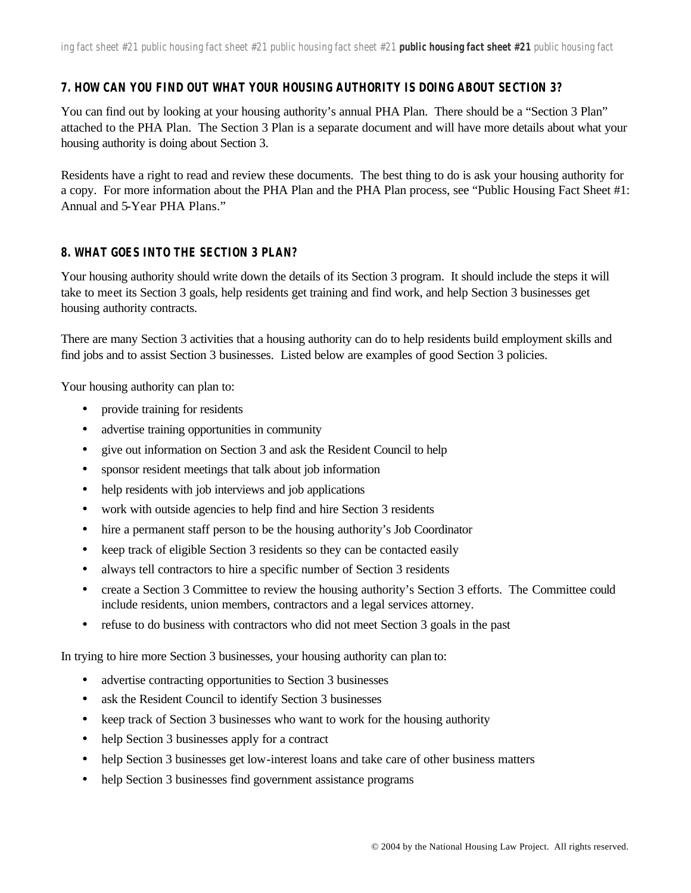#### **7. HOW CAN YOU FIND OUT WHAT YOUR HOUSING AUTHORITY IS DOING ABOUT SECTION 3?**

You can find out by looking at your housing authority's annual PHA Plan. There should be a "Section 3 Plan" attached to the PHA Plan. The Section 3 Plan is a separate document and will have more details about what your housing authority is doing about Section 3.

Residents have a right to read and review these documents. The best thing to do is ask your housing authority for a copy. For more information about the PHA Plan and the PHA Plan process, see "Public Housing Fact Sheet #1: Annual and 5-Year PHA Plans."

#### **8. WHAT GOES INTO THE SECTION 3 PLAN?**

Your housing authority should write down the details of its Section 3 program. It should include the steps it will take to meet its Section 3 goals, help residents get training and find work, and help Section 3 businesses get housing authority contracts.

There are many Section 3 activities that a housing authority can do to help residents build employment skills and find jobs and to assist Section 3 businesses. Listed below are examples of good Section 3 policies.

Your housing authority can plan to:

- provide training for residents
- advertise training opportunities in community
- give out information on Section 3 and ask the Resident Council to help
- sponsor resident meetings that talk about job information
- help residents with job interviews and job applications
- work with outside agencies to help find and hire Section 3 residents
- hire a permanent staff person to be the housing authority's Job Coordinator
- keep track of eligible Section 3 residents so they can be contacted easily
- always tell contractors to hire a specific number of Section 3 residents
- create a Section 3 Committee to review the housing authority's Section 3 efforts. The Committee could include residents, union members, contractors and a legal services attorney.
- refuse to do business with contractors who did not meet Section 3 goals in the past

In trying to hire more Section 3 businesses, your housing authority can plan to:

- advertise contracting opportunities to Section 3 businesses
- ask the Resident Council to identify Section 3 businesses
- keep track of Section 3 businesses who want to work for the housing authority
- help Section 3 businesses apply for a contract
- help Section 3 businesses get low-interest loans and take care of other business matters
- help Section 3 businesses find government assistance programs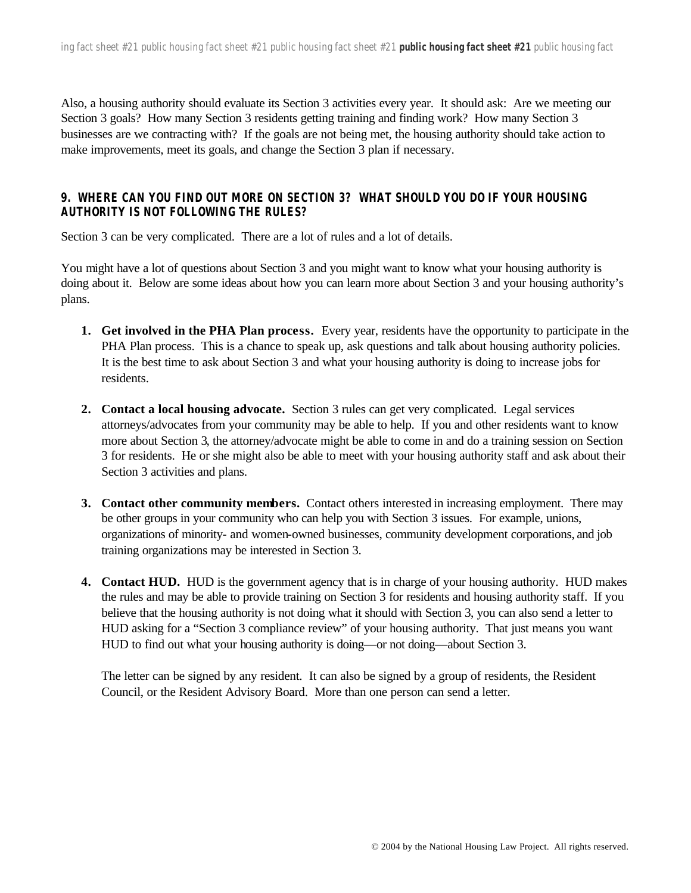Also, a housing authority should evaluate its Section 3 activities every year. It should ask: Are we meeting our Section 3 goals? How many Section 3 residents getting training and finding work? How many Section 3 businesses are we contracting with? If the goals are not being met, the housing authority should take action to make improvements, meet its goals, and change the Section 3 plan if necessary.

## **9. WHERE CAN YOU FIND OUT MORE ON SECTION 3? WHAT SHOULD YOU DO IF YOUR HOUSING AUTHORITY IS NOT FOLLOWING THE RULES?**

Section 3 can be very complicated. There are a lot of rules and a lot of details.

You might have a lot of questions about Section 3 and you might want to know what your housing authority is doing about it. Below are some ideas about how you can learn more about Section 3 and your housing authority's plans.

- **1. Get involved in the PHA Plan process.** Every year, residents have the opportunity to participate in the PHA Plan process. This is a chance to speak up, ask questions and talk about housing authority policies. It is the best time to ask about Section 3 and what your housing authority is doing to increase jobs for residents.
- **2. Contact a local housing advocate.** Section 3 rules can get very complicated. Legal services attorneys/advocates from your community may be able to help. If you and other residents want to know more about Section 3, the attorney/advocate might be able to come in and do a training session on Section 3 for residents. He or she might also be able to meet with your housing authority staff and ask about their Section 3 activities and plans.
- **3. Contact other community members.** Contact others interested in increasing employment. There may be other groups in your community who can help you with Section 3 issues. For example, unions, organizations of minority- and women-owned businesses, community development corporations, and job training organizations may be interested in Section 3.
- **4. Contact HUD.** HUD is the government agency that is in charge of your housing authority. HUD makes the rules and may be able to provide training on Section 3 for residents and housing authority staff. If you believe that the housing authority is not doing what it should with Section 3, you can also send a letter to HUD asking for a "Section 3 compliance review" of your housing authority. That just means you want HUD to find out what your housing authority is doing—or not doing—about Section 3.

The letter can be signed by any resident. It can also be signed by a group of residents, the Resident Council, or the Resident Advisory Board. More than one person can send a letter.